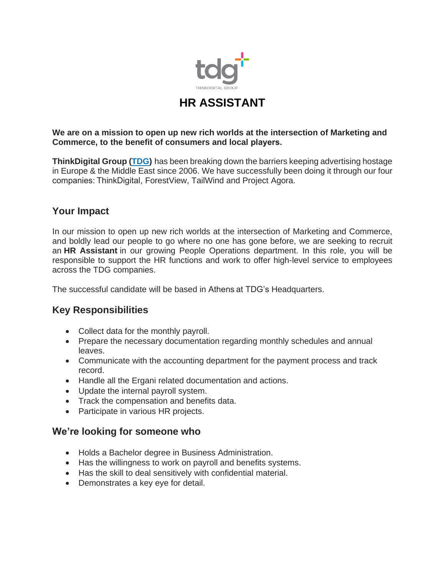

# **HR ASSISTANT**

#### **We are on a mission to open up new rich worlds at the intersection of Marketing and Commerce, to the benefit of consumers and local players.**

**ThinkDigital Group [\(TDG\)](https://thinkdigitalgroup.net/)** has been breaking down the barriers keeping advertising hostage in Europe & the Middle East since 2006. We have successfully been doing it through our four companies: ThinkDigital, ForestView, TailWind and Project Agora.

## **Your Impact**

In our mission to open up new rich worlds at the intersection of Marketing and Commerce, and boldly lead our people to go where no one has gone before, we are seeking to recruit an **HR Assistant** in our growing People Operations department. In this role, you will be responsible to support the HR functions and work to offer high-level service to employees across the TDG companies.

The successful candidate will be based in Athens at TDG's Headquarters.

### **Key Responsibilities**

- Collect data for the monthly payroll.
- Prepare the necessary documentation regarding monthly schedules and annual leaves.
- Communicate with the accounting department for the payment process and track record.
- Handle all the Ergani related documentation and actions.
- Update the internal payroll system.
- Track the compensation and benefits data.
- Participate in various HR projects.

### **We're looking for someone who**

- Holds a Bachelor degree in Business Administration.
- Has the willingness to work on payroll and benefits systems.
- Has the skill to deal sensitively with confidential material.
- Demonstrates a key eye for detail.